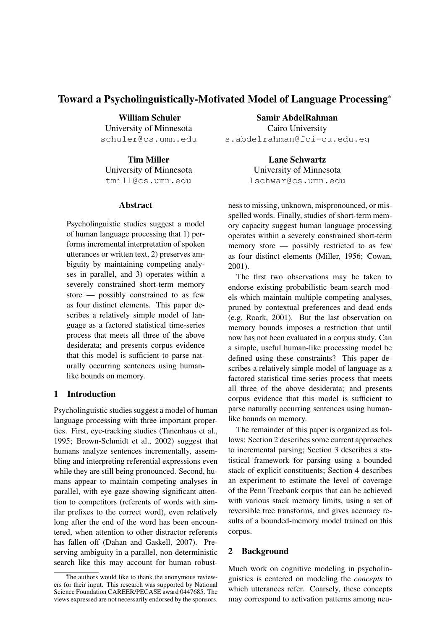# **Toward a Psycholinguistically-Motivated Model of Language Processing**<sup>∗</sup>

**William Schuler** University of Minnesota schuler@cs.umn.edu

**Tim Miller** University of Minnesota tmill@cs.umn.edu

### **Abstract**

Psycholinguistic studies suggest a model of human language processing that 1) performs incremental interpretation of spoken utterances or written text, 2) preserves ambiguity by maintaining competing analyses in parallel, and 3) operates within a severely constrained short-term memory store — possibly constrained to as few as four distinct elements. This paper describes a relatively simple model of language as a factored statistical time-series process that meets all three of the above desiderata; and presents corpus evidence that this model is sufficient to parse naturally occurring sentences using humanlike bounds on memory.

## **1 Introduction**

Psycholinguistic studies suggest a model of human language processing with three important properties. First, eye-tracking studies (Tanenhaus et al., 1995; Brown-Schmidt et al., 2002) suggest that humans analyze sentences incrementally, assembling and interpreting referential expressions even while they are still being pronounced. Second, humans appear to maintain competing analyses in parallel, with eye gaze showing significant attention to competitors (referents of words with similar prefixes to the correct word), even relatively long after the end of the word has been encountered, when attention to other distractor referents has fallen off (Dahan and Gaskell, 2007). Preserving ambiguity in a parallel, non-deterministic search like this may account for human robust-

**Samir AbdelRahman** Cairo University s.abdelrahman@fci-cu.edu.eg

> **Lane Schwartz** University of Minnesota lschwar@cs.umn.edu

ness to missing, unknown, mispronounced, or misspelled words. Finally, studies of short-term memory capacity suggest human language processing operates within a severely constrained short-term memory store — possibly restricted to as few as four distinct elements (Miller, 1956; Cowan, 2001).

The first two observations may be taken to endorse existing probabilistic beam-search models which maintain multiple competing analyses, pruned by contextual preferences and dead ends (e.g. Roark, 2001). But the last observation on memory bounds imposes a restriction that until now has not been evaluated in a corpus study. Can a simple, useful human-like processing model be defined using these constraints? This paper describes a relatively simple model of language as a factored statistical time-series process that meets all three of the above desiderata; and presents corpus evidence that this model is sufficient to parse naturally occurring sentences using humanlike bounds on memory.

The remainder of this paper is organized as follows: Section 2 describes some current approaches to incremental parsing; Section 3 describes a statistical framework for parsing using a bounded stack of explicit constituents; Section 4 describes an experiment to estimate the level of coverage of the Penn Treebank corpus that can be achieved with various stack memory limits, using a set of reversible tree transforms, and gives accuracy results of a bounded-memory model trained on this corpus.

## **2 Background**

Much work on cognitive modeling in psycholinguistics is centered on modeling the *concepts* to which utterances refer. Coarsely, these concepts may correspond to activation patterns among neu-

The authors would like to thank the anonymous reviewers for their input. This research was supported by National Science Foundation CAREER/PECASE award 0447685. The views expressed are not necessarily endorsed by the sponsors.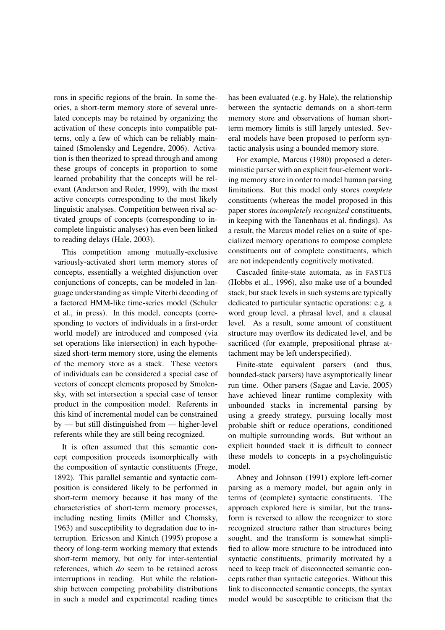rons in specific regions of the brain. In some theories, a short-term memory store of several unrelated concepts may be retained by organizing the activation of these concepts into compatible patterns, only a few of which can be reliably maintained (Smolensky and Legendre, 2006). Activation is then theorized to spread through and among these groups of concepts in proportion to some learned probability that the concepts will be relevant (Anderson and Reder, 1999), with the most active concepts corresponding to the most likely linguistic analyses. Competition between rival activated groups of concepts (corresponding to incomplete linguistic analyses) has even been linked to reading delays (Hale, 2003).

This competition among mutually-exclusive variously-activated short term memory stores of concepts, essentially a weighted disjunction over conjunctions of concepts, can be modeled in language understanding as simple Viterbi decoding of a factored HMM-like time-series model (Schuler et al., in press). In this model, concepts (corresponding to vectors of individuals in a first-order world model) are introduced and composed (via set operations like intersection) in each hypothesized short-term memory store, using the elements of the memory store as a stack. These vectors of individuals can be considered a special case of vectors of concept elements proposed by Smolensky, with set intersection a special case of tensor product in the composition model. Referents in this kind of incremental model can be constrained by — but still distinguished from — higher-level referents while they are still being recognized.

It is often assumed that this semantic concept composition proceeds isomorphically with the composition of syntactic constituents (Frege, 1892). This parallel semantic and syntactic composition is considered likely to be performed in short-term memory because it has many of the characteristics of short-term memory processes, including nesting limits (Miller and Chomsky, 1963) and susceptibility to degradation due to interruption. Ericsson and Kintch (1995) propose a theory of long-term working memory that extends short-term memory, but only for inter-sentential references, which *do* seem to be retained across interruptions in reading. But while the relationship between competing probability distributions in such a model and experimental reading times has been evaluated (e.g. by Hale), the relationship between the syntactic demands on a short-term memory store and observations of human shortterm memory limits is still largely untested. Several models have been proposed to perform syntactic analysis using a bounded memory store.

For example, Marcus (1980) proposed a deterministic parser with an explicit four-element working memory store in order to model human parsing limitations. But this model only stores *complete* constituents (whereas the model proposed in this paper stores *incompletely recognized* constituents, in keeping with the Tanenhaus et al. findings). As a result, the Marcus model relies on a suite of specialized memory operations to compose complete constituents out of complete constituents, which are not independently cognitively motivated.

Cascaded finite-state automata, as in FASTUS (Hobbs et al., 1996), also make use of a bounded stack, but stack levels in such systems are typically dedicated to particular syntactic operations: e.g. a word group level, a phrasal level, and a clausal level. As a result, some amount of constituent structure may overflow its dedicated level, and be sacrificed (for example, prepositional phrase attachment may be left underspecified).

Finite-state equivalent parsers (and thus, bounded-stack parsers) have asymptotically linear run time. Other parsers (Sagae and Lavie, 2005) have achieved linear runtime complexity with unbounded stacks in incremental parsing by using a greedy strategy, pursuing locally most probable shift or reduce operations, conditioned on multiple surrounding words. But without an explicit bounded stack it is difficult to connect these models to concepts in a psycholinguistic model.

Abney and Johnson (1991) explore left-corner parsing as a memory model, but again only in terms of (complete) syntactic constituents. The approach explored here is similar, but the transform is reversed to allow the recognizer to store recognized structure rather than structures being sought, and the transform is somewhat simplified to allow more structure to be introduced into syntactic constituents, primarily motivated by a need to keep track of disconnected semantic concepts rather than syntactic categories. Without this link to disconnected semantic concepts, the syntax model would be susceptible to criticism that the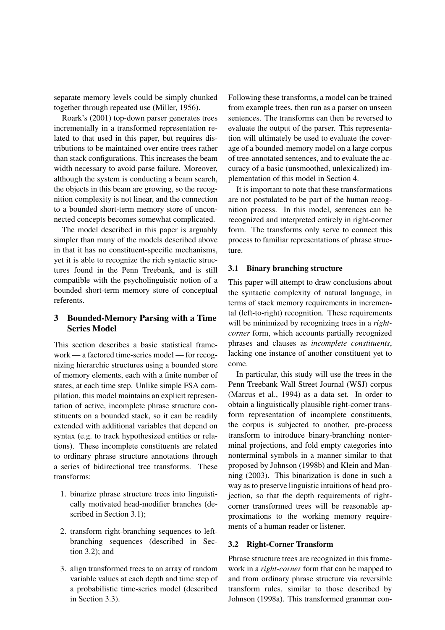separate memory levels could be simply chunked together through repeated use (Miller, 1956).

Roark's (2001) top-down parser generates trees incrementally in a transformed representation related to that used in this paper, but requires distributions to be maintained over entire trees rather than stack configurations. This increases the beam width necessary to avoid parse failure. Moreover, although the system is conducting a beam search, the objects in this beam are growing, so the recognition complexity is not linear, and the connection to a bounded short-term memory store of unconnected concepts becomes somewhat complicated.

The model described in this paper is arguably simpler than many of the models described above in that it has no constituent-specific mechanisms, yet it is able to recognize the rich syntactic structures found in the Penn Treebank, and is still compatible with the psycholinguistic notion of a bounded short-term memory store of conceptual referents.

### **3 Bounded-Memory Parsing with a Time Series Model**

This section describes a basic statistical framework — a factored time-series model — for recognizing hierarchic structures using a bounded store of memory elements, each with a finite number of states, at each time step. Unlike simple FSA compilation, this model maintains an explicit representation of active, incomplete phrase structure constituents on a bounded stack, so it can be readily extended with additional variables that depend on syntax (e.g. to track hypothesized entities or relations). These incomplete constituents are related to ordinary phrase structure annotations through a series of bidirectional tree transforms. These transforms:

- 1. binarize phrase structure trees into linguistically motivated head-modifier branches (described in Section 3.1);
- 2. transform right-branching sequences to leftbranching sequences (described in Section 3.2); and
- 3. align transformed trees to an array of random variable values at each depth and time step of a probabilistic time-series model (described in Section 3.3).

Following these transforms, a model can be trained from example trees, then run as a parser on unseen sentences. The transforms can then be reversed to evaluate the output of the parser. This representation will ultimately be used to evaluate the coverage of a bounded-memory model on a large corpus of tree-annotated sentences, and to evaluate the accuracy of a basic (unsmoothed, unlexicalized) implementation of this model in Section 4.

It is important to note that these transformations are not postulated to be part of the human recognition process. In this model, sentences can be recognized and interpreted entirely in right-corner form. The transforms only serve to connect this process to familiar representations of phrase structure.

#### **3.1 Binary branching structure**

This paper will attempt to draw conclusions about the syntactic complexity of natural language, in terms of stack memory requirements in incremental (left-to-right) recognition. These requirements will be minimized by recognizing trees in a *rightcorner* form, which accounts partially recognized phrases and clauses as *incomplete constituents*, lacking one instance of another constituent yet to come.

In particular, this study will use the trees in the Penn Treebank Wall Street Journal (WSJ) corpus (Marcus et al., 1994) as a data set. In order to obtain a linguistically plausible right-corner transform representation of incomplete constituents, the corpus is subjected to another, pre-process transform to introduce binary-branching nonterminal projections, and fold empty categories into nonterminal symbols in a manner similar to that proposed by Johnson (1998b) and Klein and Manning (2003). This binarization is done in such a way as to preserve linguistic intuitions of head projection, so that the depth requirements of rightcorner transformed trees will be reasonable approximations to the working memory requirements of a human reader or listener.

#### **3.2 Right-Corner Transform**

Phrase structure trees are recognized in this framework in a *right-corner* form that can be mapped to and from ordinary phrase structure via reversible transform rules, similar to those described by Johnson (1998a). This transformed grammar con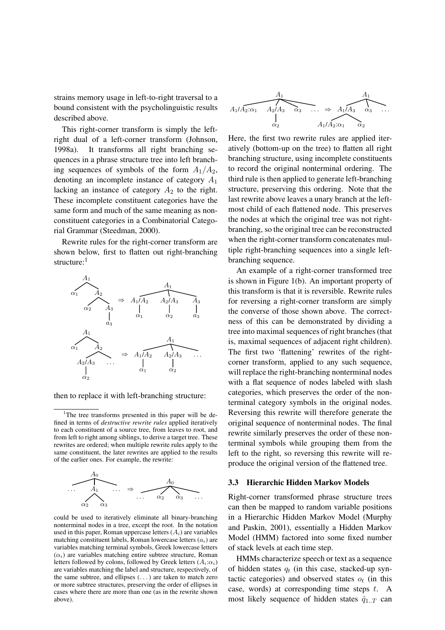strains memory usage in left-to-right traversal to a bound consistent with the psycholinguistic results described above.

This right-corner transform is simply the leftright dual of a left-corner transform (Johnson, 1998a). It transforms all right branching sequences in a phrase structure tree into left branching sequences of symbols of the form  $A_1/A_2$ , denoting an incomplete instance of category  $A_1$ lacking an instance of category  $A_2$  to the right. These incomplete constituent categories have the same form and much of the same meaning as nonconstituent categories in a Combinatorial Categorial Grammar (Steedman, 2000).

Rewrite rules for the right-corner transform are shown below, first to flatten out right-branching structure:<sup>1</sup>



then to replace it with left-branching structure:

<sup>&</sup>lt;sup>1</sup>The tree transforms presented in this paper will be defined in terms of *destructive rewrite rules* applied iteratively to each constituent of a source tree, from leaves to root, and from left to right among siblings, to derive a target tree. These rewrites are ordered; when multiple rewrite rules apply to the same constituent, the later rewrites are applied to the results of the earlier ones. For example, the rewrite:



could be used to iteratively eliminate all binary-branching nonterminal nodes in a tree, except the root. In the notation used in this paper, Roman uppercase letters  $(A_i)$  are variables matching constituent labels. Roman lowercase letters  $(a_i)$  are variables matching terminal symbols, Greek lowercase letters  $(\alpha_i)$  are variables matching entire subtree structure, Roman letters followed by colons, followed by Greek letters  $(A_i:\alpha_i)$ are variables matching the label and structure, respectively, of the same subtree, and ellipses (. . . ) are taken to match zero or more subtree structures, preserving the order of ellipses in cases where there are more than one (as in the rewrite shown above).

$$
A_1
$$
  
\n $A_1$   
\n $A_2$   
\n $\alpha_2$   
\n $A_2$   
\n $A_3$   
\n $\alpha_3$   
\n $\alpha_4$   
\n $A_1$   
\n $A_2$   
\n $\alpha_3$   
\n $\alpha_4$   
\n $\alpha_5$   
\n $\alpha_6$   
\n $\alpha_7$   
\n $\alpha_8$   
\n $\alpha_9$   
\n $\alpha_1$   
\n $\alpha_2$ 

Here, the first two rewrite rules are applied iteratively (bottom-up on the tree) to flatten all right branching structure, using incomplete constituents to record the original nonterminal ordering. The third rule is then applied to generate left-branching structure, preserving this ordering. Note that the last rewrite above leaves a unary branch at the leftmost child of each flattened node. This preserves the nodes at which the original tree was not rightbranching, so the original tree can be reconstructed when the right-corner transform concatenates multiple right-branching sequences into a single leftbranching sequence.

An example of a right-corner transformed tree is shown in Figure 1(b). An important property of this transform is that it is reversible. Rewrite rules for reversing a right-corner transform are simply the converse of those shown above. The correctness of this can be demonstrated by dividing a tree into maximal sequences of right branches (that is, maximal sequences of adjacent right children). The first two 'flattening' rewrites of the rightcorner transform, applied to any such sequence, will replace the right-branching nonterminal nodes with a flat sequence of nodes labeled with slash categories, which preserves the order of the nonterminal category symbols in the original nodes. Reversing this rewrite will therefore generate the original sequence of nonterminal nodes. The final rewrite similarly preserves the order of these nonterminal symbols while grouping them from the left to the right, so reversing this rewrite will reproduce the original version of the flattened tree.

#### **3.3 Hierarchic Hidden Markov Models**

Right-corner transformed phrase structure trees can then be mapped to random variable positions in a Hierarchic Hidden Markov Model (Murphy and Paskin, 2001), essentially a Hidden Markov Model (HMM) factored into some fixed number of stack levels at each time step.

HMMs characterize speech or text as a sequence of hidden states  $q_t$  (in this case, stacked-up syntactic categories) and observed states  $o_t$  (in this case, words) at corresponding time steps  $t$ . A most likely sequence of hidden states  $\hat{q}_{1..T}$  can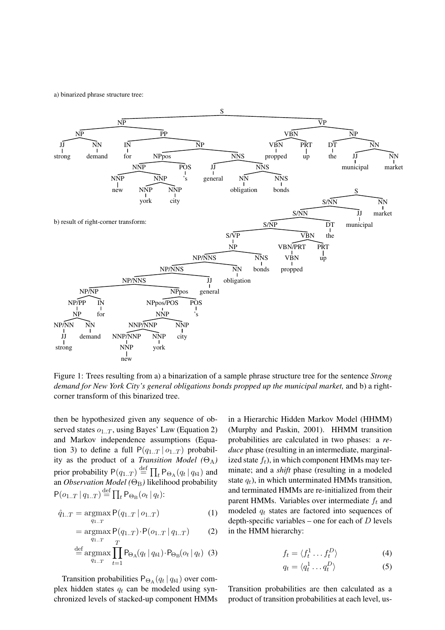a) binarized phrase structure tree:



Figure 1: Trees resulting from a) a binarization of a sample phrase structure tree for the sentence *Strong demand for New York City's general obligations bonds propped up the municipal market,* and b) a rightcorner transform of this binarized tree.

then be hypothesized given any sequence of observed states  $o_{1,T}$ , using Bayes' Law (Equation 2) and Markov independence assumptions (Equation 3) to define a full  $P(q_{1..T} | o_{1..T})$  probability as the product of a *Transition Model* ( $\Theta_A$ ) prior probability  $P(q_{1..T}) \stackrel{\text{def}}{=} \prod_t P_{\Theta_A}(q_t | q_{t1})$  and an *Observation Model* (Θ<sub>B</sub>) likelihood probability  $P(o_{1..T} | q_{1..T}) \stackrel{\text{def}}{=} \prod_{t} P_{\Theta_B}(o_t | q_t)$ :

$$
\hat{q}_{1..T} = \operatorname*{argmax}_{q_{1..T}} \mathsf{P}(q_{1..T} | o_{1..T}) \tag{1}
$$

$$
= \underset{q_{1..T}}{\text{argmax}} P(q_{1..T}) \cdot P(o_{1..T} | q_{1..T}) \tag{2}
$$

$$
\stackrel{\text{def}}{=} \underset{q_{1..T}}{\text{argmax}} \prod_{t=1}^{n} P_{\Theta_{\text{A}}}(q_t | q_{t1}) \cdot P_{\Theta_{\text{B}}}(o_t | q_t) \tag{3}
$$

Transition probabilities  $P_{\Theta_A}(q_t | q_{t1})$  over complex hidden states  $q_t$  can be modeled using synchronized levels of stacked-up component HMMs in a Hierarchic Hidden Markov Model (HHMM) (Murphy and Paskin, 2001). HHMM transition probabilities are calculated in two phases: a *reduce* phase (resulting in an intermediate, marginalized state  $f_t$ ), in which component HMMs may terminate; and a *shift* phase (resulting in a modeled state  $q_t$ ), in which unterminated HMMs transition, and terminated HMMs are re-initialized from their parent HMMs. Variables over intermediate  $f_t$  and modeled  $q_t$  states are factored into sequences of depth-specific variables – one for each of  $D$  levels in the HMM hierarchy:

$$
f_t = \langle f_t^1 \dots f_t^D \rangle \tag{4}
$$

$$
q_t = \langle q_t^1 \dots q_t^D \rangle \tag{5}
$$

Transition probabilities are then calculated as a product of transition probabilities at each level, us-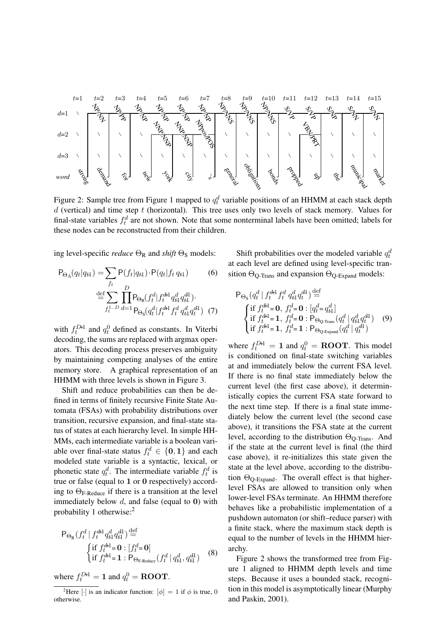

Figure 2: Sample tree from Figure 1 mapped to  $q_t^d$  variable positions of an HHMM at each stack depth  $d$  (vertical) and time step  $t$  (horizontal). This tree uses only two levels of stack memory. Values for final-state variables  $f_t^d$  are not shown. Note that some nonterminal labels have been omitted; labels for these nodes can be reconstructed from their children.

ing level-specific *reduce*  $\Theta_R$  and *shift*  $\Theta_S$  models:

$$
P_{\Theta_A}(q_t|q_{t1}) = \sum_{f_t} P(f_t|q_{t1}) \cdot P(q_t|f_t|q_{t1}) \qquad (6)
$$

$$
\stackrel{\text{def}}{=} \sum_{f_t^{1...D}} \prod_{d=1}^D P_{\Theta_R}(f_t^d|f_t^{dH} q_{t1}^d q_{t1}^{d1}).
$$

$$
P_{\Theta_S}(q_t^d|f_t^{dH} f_t^d q_{t1}^d q_t^{d1}) \qquad (7)
$$

with  $f_t^{DH}$  and  $q_t^0$  defined as constants. In Viterbi decoding, the sums are replaced with argmax operators. This decoding process preserves ambiguity by maintaining competing analyses of the entire memory store. A graphical representation of an HHMM with three levels is shown in Figure 3.

Shift and reduce probabilities can then be defined in terms of finitely recursive Finite State Automata (FSAs) with probability distributions over transition, recursive expansion, and final-state status of states at each hierarchy level. In simple HH-MMs, each intermediate variable is a boolean variable over final-state status  $f_t^d \in \{0, 1\}$  and each modeled state variable is a syntactic, lexical, or phonetic state  $q_t^d$ . The intermediate variable  $f_t^d$  is true or false (equal to 1 or 0 respectively) according to ΘF-Reduce if there is a transition at the level immediately below  $d$ , and false (equal to 0) with probability 1 otherwise:<sup>2</sup>

$$
\mathsf{P}_{\Theta_{\mathsf{R}}}(f_t^d | f_t^{d\mathsf{H}} q_{t1}^d q_{t1}^{d1}) \stackrel{\text{def}}{=} \{\n\begin{cases}\n\text{if } f_t^{d\mathsf{H}} = \mathbf{0} : [f_t^d = \mathbf{0}] \\
\text{if } f_t^{d\mathsf{H}} = \mathbf{1} : \mathsf{P}_{\Theta_{\text{F-Reduce}}}(f_t^d | q_{t1}^d, q_{t1}^{d1})\n\end{cases}\n\tag{8}\n\}
$$

where  $f_t^{D H} = 1$  and  $q_t^0 = \text{ROOT}$ .

Shift probabilities over the modeled variable  $q_t^d$ at each level are defined using level-specific transition  $\Theta_{\text{O-Trans}}$  and expansion  $\Theta_{\text{O-Expand}}$  models:

$$
P_{\Theta_{\rm S}}(q_t^d \mid f_t^{d\!+\!1} f_t^d \, q_{t\!+\!1}^d q_t^d)^{\text{def}} =
$$
\n
$$
\begin{cases}\n\text{if } f_t^{d\!+\!1} = 0, \ f_t^d = 0 : [q_t^d = q_{t\!-\!1}^d] \\
\text{if } f_t^{d\!+\!1} = 1, \ f_t^d = 0 : P_{\Theta_{\rm Q}\text{-Trans}}(q_t^d \mid q_{t\!-\!1}^d q_t^d) \\
\text{if } f_t^{d\!+\!1} = 1, \ f_t^d = 1 : P_{\Theta_{\rm Q\text{-Expand}}}(q_t^d \mid q_t^{d\!+\!1})\n\end{cases} \tag{9}
$$

where  $f_t^{DH} = 1$  and  $q_t^0 = \text{ROOT}$ . This model is conditioned on final-state switching variables at and immediately below the current FSA level. If there is no final state immediately below the current level (the first case above), it deterministically copies the current FSA state forward to the next time step. If there is a final state immediately below the current level (the second case above), it transitions the FSA state at the current level, according to the distribution  $\Theta_{\text{Q-Trans}}$ . And if the state at the current level is final (the third case above), it re-initializes this state given the state at the level above, according to the distribution  $\Theta_{\text{Q-Expand}}$ . The overall effect is that higherlevel FSAs are allowed to transition only when lower-level FSAs terminate. An HHMM therefore behaves like a probabilistic implementation of a pushdown automaton (or shift–reduce parser) with a finite stack, where the maximum stack depth is equal to the number of levels in the HHMM hierarchy.

Figure 2 shows the transformed tree from Figure 1 aligned to HHMM depth levels and time steps. Because it uses a bounded stack, recognition in this model is asymptotically linear (Murphy and Paskin, 2001).

<sup>&</sup>lt;sup>2</sup>Here [·] is an indicator function:  $[\phi] = 1$  if  $\phi$  is true, 0 otherwise.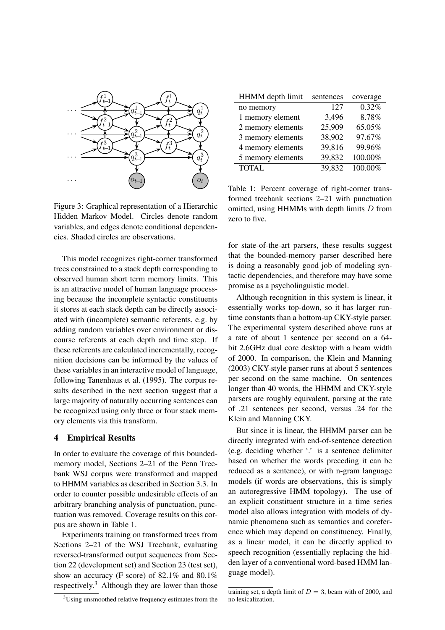

Figure 3: Graphical representation of a Hierarchic Hidden Markov Model. Circles denote random variables, and edges denote conditional dependencies. Shaded circles are observations.

This model recognizes right-corner transformed trees constrained to a stack depth corresponding to observed human short term memory limits. This is an attractive model of human language processing because the incomplete syntactic constituents it stores at each stack depth can be directly associated with (incomplete) semantic referents, e.g. by adding random variables over environment or discourse referents at each depth and time step. If these referents are calculated incrementally, recognition decisions can be informed by the values of these variables in an interactive model of language, following Tanenhaus et al. (1995). The corpus results described in the next section suggest that a large majority of naturally occurring sentences can be recognized using only three or four stack memory elements via this transform.

#### **4 Empirical Results**

In order to evaluate the coverage of this boundedmemory model, Sections 2–21 of the Penn Treebank WSJ corpus were transformed and mapped to HHMM variables as described in Section 3.3. In order to counter possible undesirable effects of an arbitrary branching analysis of punctuation, punctuation was removed. Coverage results on this corpus are shown in Table 1.

Experiments training on transformed trees from Sections 2–21 of the WSJ Treebank, evaluating reversed-transformed output sequences from Section 22 (development set) and Section 23 (test set), show an accuracy (F score) of 82.1% and 80.1% respectively.<sup>3</sup> Although they are lower than those

| <sup>3</sup> Using unsmoothed relative frequency estimates from the |  |  |  |
|---------------------------------------------------------------------|--|--|--|
|                                                                     |  |  |  |

| HHMM depth limit  | sentences | coverage |
|-------------------|-----------|----------|
| no memory         | 127       | 0.32%    |
| 1 memory element  | 3,496     | 8.78%    |
| 2 memory elements | 25,909    | 65.05%   |
| 3 memory elements | 38,902    | 97.67%   |
| 4 memory elements | 39,816    | 99.96%   |
| 5 memory elements | 39,832    | 100.00%  |
| <b>TOTAL</b>      | 39,832    | 100.00%  |

Table 1: Percent coverage of right-corner transformed treebank sections 2–21 with punctuation omitted, using HHMMs with depth limits D from zero to five.

for state-of-the-art parsers, these results suggest that the bounded-memory parser described here is doing a reasonably good job of modeling syntactic dependencies, and therefore may have some promise as a psycholinguistic model.

Although recognition in this system is linear, it essentially works top-down, so it has larger runtime constants than a bottom-up CKY-style parser. The experimental system described above runs at a rate of about 1 sentence per second on a 64 bit 2.6GHz dual core desktop with a beam width of 2000. In comparison, the Klein and Manning (2003) CKY-style parser runs at about 5 sentences per second on the same machine. On sentences longer than 40 words, the HHMM and CKY-style parsers are roughly equivalent, parsing at the rate of .21 sentences per second, versus .24 for the Klein and Manning CKY.

But since it is linear, the HHMM parser can be directly integrated with end-of-sentence detection (e.g. deciding whether '.' is a sentence delimiter based on whether the words preceding it can be reduced as a sentence), or with n-gram language models (if words are observations, this is simply an autoregressive HMM topology). The use of an explicit constituent structure in a time series model also allows integration with models of dynamic phenomena such as semantics and coreference which may depend on constituency. Finally, as a linear model, it can be directly applied to speech recognition (essentially replacing the hidden layer of a conventional word-based HMM language model).

training set, a depth limit of  $D = 3$ , beam with of 2000, and no lexicalization.